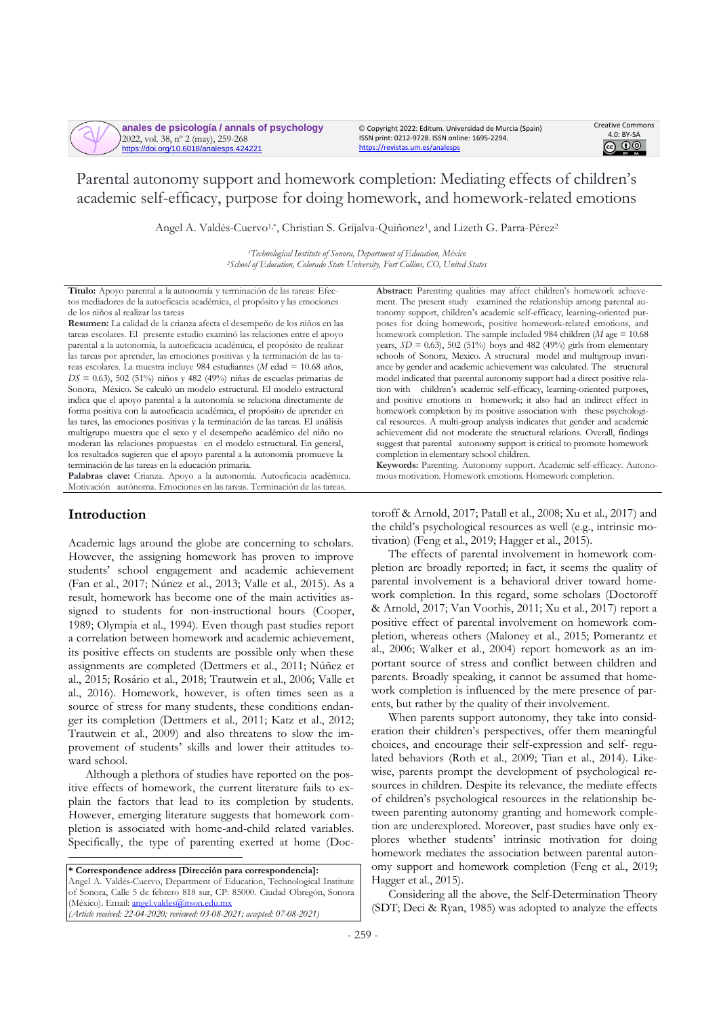**anales de psicología / annals of psychology** 2022, vol. 38, nº 2 (may), 259-268 https://doi.org/10.6018/analesps.424221

© Copyright 2022: Editum. Universidad de Murcia (Spain) ISSN print: 0212-9728. ISSN online: 1695-2294. <https://revistas.um.es/analesps>



Parental autonomy support and homework completion: Mediating effects of children's academic self-efficacy, purpose for doing homework, and homework-related emotions

Angel A. Valdés-Cuervo<sup>1,\*</sup>, Christian S. Grijalva-Quiñonez<sup>1</sup>, and Lizeth G. Parra-Pérez<sup>2</sup>

*<sup>1</sup>Technological Institute of Sonora, Department of Education, México <sup>2</sup>School of Education, Colorado State University, Fort Collins, CO, United States*

**Título:** Apoyo parental a la autonomía y terminación de las tareas: Efectos mediadores de la autoeficacia académica, el propósito y las emociones de los niños al realizar las tareas

**Resumen:** La calidad de la crianza afecta el desempeño de los niños en las tareas escolares. El presente estudio examinó las relaciones entre el apoyo parental a la autonomía, la autoeficacia académica, el propósito de realizar las tareas por aprender, las emociones positivas y la terminación de las tareas escolares. La muestra incluye 984 estudiantes (*M* edad = 10.68 años, *DS* = 0.63), 502 (51%) niños y 482 (49%) niñas de escuelas primarias de Sonora, México. Se calculó un modelo estructural. El modelo estructural indica que el apoyo parental a la autonomía se relaciona directamente de forma positiva con la autoeficacia académica, el propósito de aprender en las tares, las emociones positivas y la terminación de las tareas. El análisis multigrupo muestra que el sexo y el desempeño académico del niño no moderan las relaciones propuestas en el modelo estructural. En general, los resultados sugieren que el apoyo parental a la autonomía promueve la terminación de las tareas en la educación primaria.

**Palabras clave:** Crianza. Apoyo a la autonomía. Autoeficacia académica. Motivación autónoma. Emociones en lastareas. Terminación de las tareas.

# **Introduction**

Academic lags around the globe are concerning to scholars. However, the assigning homework has proven to improve students' school engagement and academic achievement (Fan et al., 2017; Núnez et al., 2013; Valle et al., 2015). As a result, homework has become one of the main activities assigned to students for non-instructional hours (Cooper, 1989; Olympia et al., 1994). Even though past studies report a correlation between homework and academic achievement, its positive effects on students are possible only when these assignments are completed (Dettmers et al., 2011; Núñez et al., 2015; Rosário et al., 2018; Trautwein et al., 2006; Valle et al., 2016). Homework, however, is often times seen as a source of stress for many students, these conditions endanger its completion (Dettmers et al., 2011; Katz et al., 2012; Trautwein et al., 2009) and also threatens to slow the improvement of students' skills and lower their attitudes toward school.

Although a plethora of studies have reported on the positive effects of homework, the current literature fails to explain the factors that lead to its completion by students. However, emerging literature suggests that homework completion is associated with home-and-child related variables. Specifically, the type of parenting exerted at home (Doc-

**\* Correspondence address [Dirección para correspondencia]:** Angel A. Valdés-Cuervo, Department of Education, Technological Institute of Sonora, Calle 5 de febrero 818 sur, CP: 85000. Ciudad Obregón, Sonora (México). Email[: angel.valdes@itson.edu.mx](mailto:angel.valdes@itson.edu.mx) *(Article received: 22-04-2020; reviewed: 03-08-2021; accepted: 07-08-2021)*

**Abstract:** Parenting qualities may affect children's homework achievement. The present study examined the relationship among parental autonomy support, children's academic self-efficacy, learning-oriented purposes for doing homework, positive homework-related emotions, and homework completion. The sample included 984 children (*M* age = 10.68) years,  $SD = 0.63$ ), 502 (51%) boys and 482 (49%) girls from elementary schools of Sonora, Mexico. A structural model and multigroup invariance by gender and academic achievement was calculated. The structural model indicated that parental autonomy support had a direct positive relation with children's academic self-efficacy, learning-oriented purposes, and positive emotions in homework; it also had an indirect effect in homework completion by its positive association with these psychological resources. A multi-group analysis indicates that gender and academic achievement did not moderate the structural relations. Overall, findings suggest that parental autonomy support is critical to promote homework completion in elementary school children.

**Keywords:** Parenting. Autonomy support. Academic self-efficacy. Autonomous motivation. Homework emotions. Homework completion.

toroff & Arnold, 2017; Patall et al., 2008; Xu et al., 2017) and the child's psychological resources as well (e.g., intrinsic motivation) (Feng et al., 2019; Hagger et al., 2015).

The effects of parental involvement in homework completion are broadly reported; in fact, it seems the quality of parental involvement is a behavioral driver toward homework completion. In this regard, some scholars (Doctoroff & Arnold, 2017; Van Voorhis, 2011; Xu et al., 2017) report a positive effect of parental involvement on homework completion, whereas others (Maloney et al., 2015; Pomerantz et al., 2006; Walker et al., 2004) report homework as an important source of stress and conflict between children and parents. Broadly speaking, it cannot be assumed that homework completion is influenced by the mere presence of parents, but rather by the quality of their involvement.

When parents support autonomy, they take into consideration their children's perspectives, offer them meaningful choices, and encourage their self-expression and self- regulated behaviors (Roth et al., 2009; Tian et al., 2014). Likewise, parents prompt the development of psychological resources in children. Despite its relevance, the mediate effects of children's psychological resources in the relationship between parenting autonomy granting and homework completion are underexplored. Moreover, past studies have only explores whether students' intrinsic motivation for doing homework mediates the association between parental autonomy support and homework completion (Feng et al., 2019; Hagger et al., 2015).

Considering all the above, the Self-Determination Theory (SDT; Deci & Ryan, 1985) was adopted to analyze the effects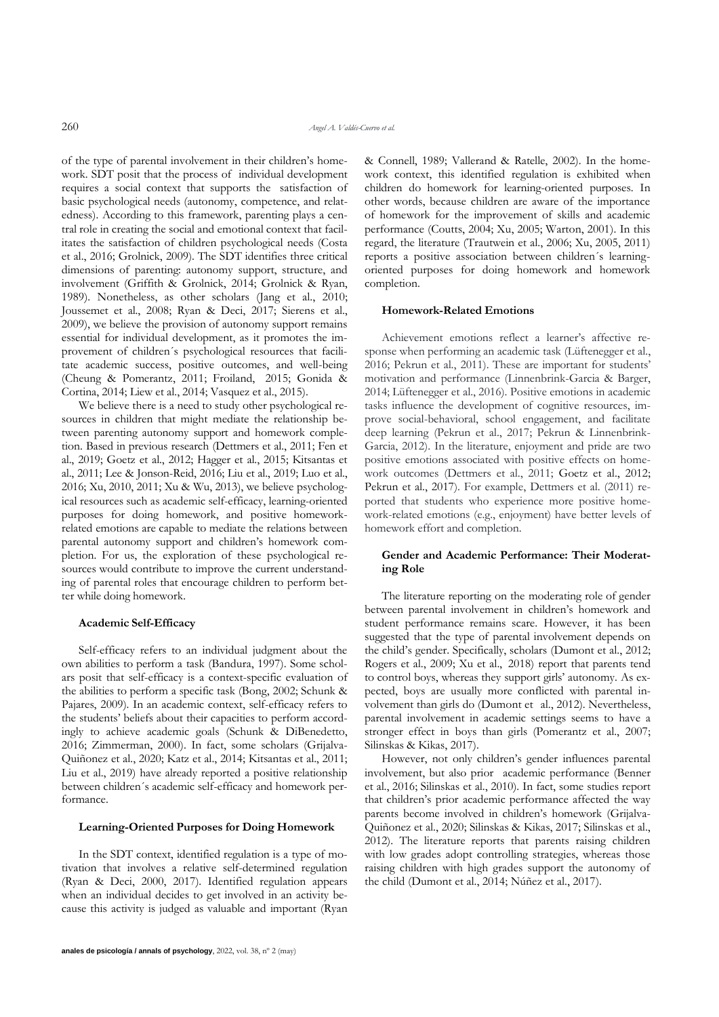of the type of parental involvement in their children's homework. SDT posit that the process of individual development requires a social context that supports the satisfaction of basic psychological needs (autonomy, competence, and relatedness). According to this framework, parenting plays a central role in creating the social and emotional context that facilitates the satisfaction of children psychological needs (Costa et al., 2016; Grolnick, 2009). The SDT identifies three critical dimensions of parenting: autonomy support, structure, and involvement (Griffith & Grolnick, 2014; Grolnick & Ryan, 1989). Nonetheless, as other scholars (Jang et al., 2010; Joussemet et al., 2008; Ryan & Deci, 2017; Sierens et al., 2009), we believe the provision of autonomy support remains essential for individual development, as it promotes the improvement of children´s psychological resources that facilitate academic success, positive outcomes, and well-being (Cheung & Pomerantz, 2011; Froiland, 2015; Gonida & Cortina, 2014; Liew et al., 2014; Vasquez et al., 2015).

We believe there is a need to study other psychological resources in children that might mediate the relationship between parenting autonomy support and homework completion. Based in previous research (Dettmers et al., 2011; Fen et al., 2019; Goetz et al., 2012; Hagger et al., 2015; Kitsantas et al., 2011; Lee & Jonson-Reid, 2016; Liu et al., 2019; Luo et al., 2016; Xu, 2010, 2011; Xu & Wu, 2013), we believe psychological resources such as academic self-efficacy, learning-oriented purposes for doing homework, and positive homeworkrelated emotions are capable to mediate the relations between parental autonomy support and children's homework completion. For us, the exploration of these psychological resources would contribute to improve the current understanding of parental roles that encourage children to perform better while doing homework.

#### **Academic Self-Efficacy**

Self-efficacy refers to an individual judgment about the own abilities to perform a task (Bandura, 1997). Some scholars posit that self-efficacy is a context-specific evaluation of the abilities to perform a specific task (Bong, 2002; Schunk & Pajares, 2009). In an academic context, self-efficacy refers to the students' beliefs about their capacities to perform accordingly to achieve academic goals (Schunk & DiBenedetto, 2016; Zimmerman, 2000). In fact, some scholars (Grijalva-Quiñonez et al., 2020; Katz et al., 2014; Kitsantas et al., 2011; Liu et al., 2019) have already reported a positive relationship between children´s academic self-efficacy and homework performance.

## **Learning-Oriented Purposes for Doing Homework**

In the SDT context, identified regulation is a type of motivation that involves a relative self-determined regulation (Ryan & Deci, 2000, 2017). Identified regulation appears when an individual decides to get involved in an activity because this activity is judged as valuable and important (Ryan & Connell, 1989; Vallerand & Ratelle, 2002). In the homework context, this identified regulation is exhibited when children do homework for learning-oriented purposes. In other words, because children are aware of the importance of homework for the improvement of skills and academic performance (Coutts, 2004; Xu, 2005; Warton, 2001). In this regard, the literature (Trautwein et al., 2006; Xu, 2005, 2011) reports a positive association between children´s learningoriented purposes for doing homework and homework completion.

## **Homework-Related Emotions**

Achievement emotions reflect a learner's affective response when performing an academic task (Lüftenegger et al., 2016; Pekrun et al., 2011). These are important for students' motivation and performance (Linnenbrink-Garcia & Barger, 2014; Lüftenegger et al., 2016). Positive emotions in academic tasks influence the development of cognitive resources, improve social-behavioral, school engagement, and facilitate deep learning (Pekrun et al., 2017; Pekrun & Linnenbrink-Garcia, 2012). In the literature, enjoyment and pride are two positive emotions associated with positive effects on homework outcomes (Dettmers et al., 2011; Goetz et al., 2012; Pekrun et al., 2017). For example, Dettmers et al. (2011) reported that students who experience more positive homework-related emotions (e.g., enjoyment) have better levels of homework effort and completion.

## **Gender and Academic Performance: Their Moderating Role**

The literature reporting on the moderating role of gender between parental involvement in children's homework and student performance remains scare. However, it has been suggested that the type of parental involvement depends on the child's gender. Specifically, scholars (Dumont et al., 2012; Rogers et al., 2009; Xu et al., 2018) report that parents tend to control boys, whereas they support girls' autonomy. As expected, boys are usually more conflicted with parental involvement than girls do (Dumont et al., 2012). Nevertheless, parental involvement in academic settings seems to have a stronger effect in boys than girls (Pomerantz et al., 2007; Silinskas & Kikas, 2017).

However, not only children's gender influences parental involvement, but also prior academic performance (Benner et al., 2016; Silinskas et al., 2010). In fact, some studies report that children's prior academic performance affected the way parents become involved in children's homework (Grijalva-Quiñonez et al., 2020; Silinskas & Kikas, 2017; Silinskas et al., 2012). The literature reports that parents raising children with low grades adopt controlling strategies, whereas those raising children with high grades support the autonomy of the child (Dumont et al., 2014; Núñez et al., 2017).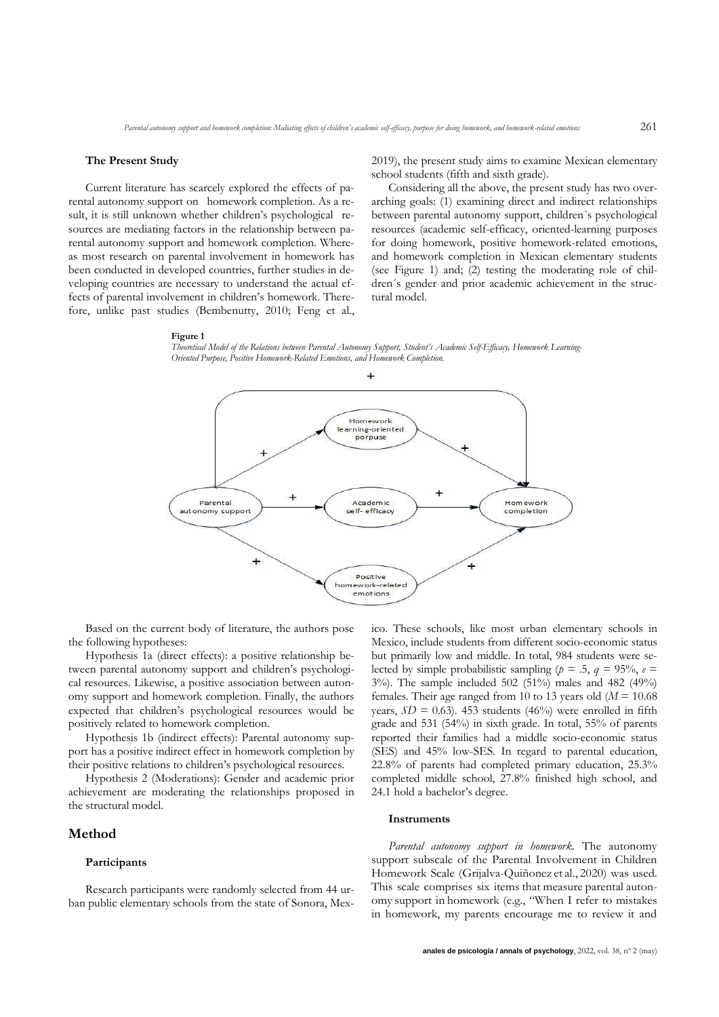#### **The Present Study**

Current literature has scarcely explored the effects of parental autonomy support on homework completion. As a result, it is still unknown whether children's psychological resources are mediating factors in the relationship between parental autonomy support and homework completion. Whereas most research on parental involvement in homework has been conducted in developed countries, further studies in developing countries are necessary to understand the actual effects of parental involvement in children's homework. Therefore, unlike past studies (Bembenutty, 2010; Feng et al.,

2019), the present study aims to examine Mexican elementary school students (fifth and sixth grade).

Considering all the above, the present study has two overarching goals: (1) examining direct and indirect relationships between parental autonomy support, children´s psychological resources (academic self-efficacy, oriented-learning purposes for doing homework, positive homework-related emotions, and homework completion in Mexican elementary students (see Figure 1) and; (2) testing the moderating role of children´s gender and prior academic achievement in the structural model.

#### **Figure 1**





Based on the current body of literature, the authors pose the following hypotheses:

Hypothesis 1a (direct effects): a positive relationship between parental autonomy support and children's psychological resources. Likewise, a positive association between autonomy support and homework completion. Finally, the authors expected that children's psychological resources would be positively related to homework completion.

Hypothesis 1b (indirect effects): Parental autonomy support has a positive indirect effect in homework completion by their positive relations to children's psychological resources.

Hypothesis 2 (Moderations): Gender and academic prior achievement are moderating the relationships proposed in the structural model.

# **Method**

## **Participants**

Research participants were randomly selected from 44 urban public elementary schools from the state of Sonora, Mexico. These schools, like most urban elementary schools in Mexico, include students from different socio-economic status but primarily low and middle. In total, 984 students were selected by simple probabilistic sampling ( $p = .5$ ,  $q = 95\%$ ,  $e =$ 3%). The sample included 502 (51%) males and 482 (49%) females. Their age ranged from 10 to 13 years old  $(M = 10.68$ years,  $SD = 0.63$ ). 453 students (46%) were enrolled in fifth grade and 531 (54%) in sixth grade. In total, 55% of parents reported their families had a middle socio-economic status (SES) and 45% low-SES. In regard to parental education, 22.8% of parents had completed primary education, 25.3% completed middle school, 27.8% finished high school, and 24.1 hold a bachelor's degree.

#### **Instruments**

*Parental autonomy support in homework.* The autonomy support subscale of the Parental Involvement in Children Homework Scale (Grijalva-Quiñonez et al., 2020) was used. This scale comprises six items that measure parental autonomy support in homework (e.g., "When I refer to mistakes in homework, my parents encourage me to review it and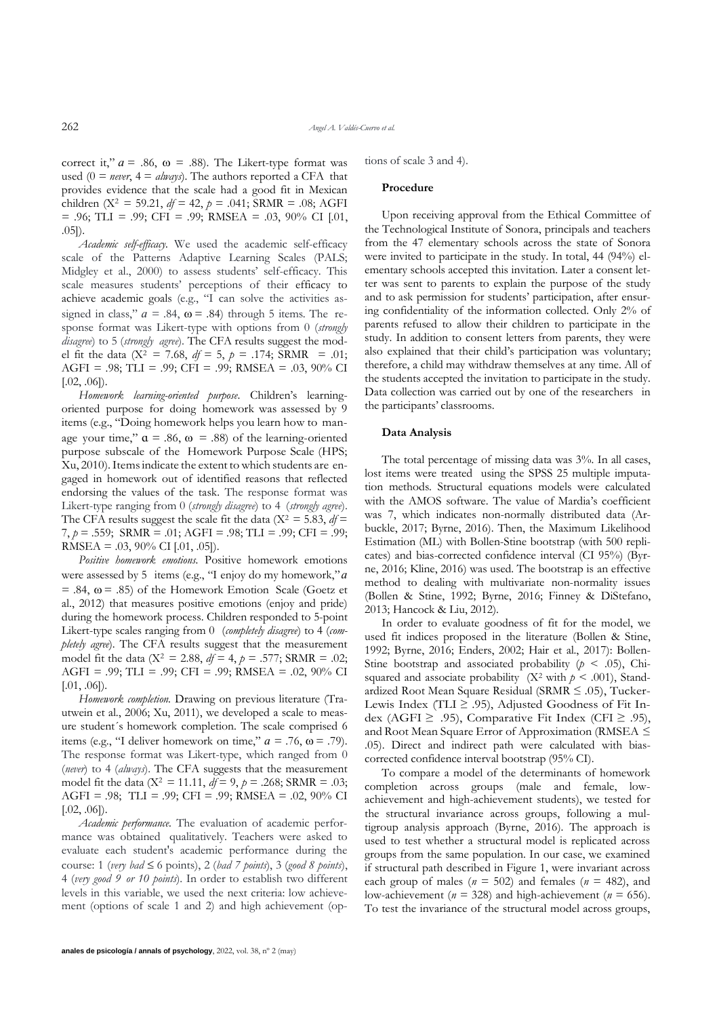correct it,"  $a = .86$ ,  $\omega = .88$ ). The Likert-type format was used  $(0 = never, 4 = always)$ . The authors reported a CFA that provides evidence that the scale had a good fit in Mexican children (X<sup>2</sup> = 59.21,  $df = 42$ ,  $p = .041$ ; SRMR = .08; AGFI  $= .96$ ; TLI  $= .99$ ; CFI  $= .99$ ; RMSEA  $= .03, 90\%$  CI [.01, .05]).

*Academic self-efficacy.* We used the academic self-efficacy scale of the Patterns Adaptive Learning Scales (PALS; Midgley et al., 2000) to assess students' self-efficacy. This scale measures students' perceptions of their efficacy to achieve academic goals (e.g., "I can solve the activities assigned in class,"  $a = .84$ ,  $\omega = .84$ ) through 5 items. The response format was Likert-type with options from 0 (*strongly disagree*) to 5 (*strongly agree*). The CFA results suggest the model fit the data (X<sup>2</sup> = 7.68,  $df = 5$ ,  $p = .174$ ; SRMR = .01; AGFI = .98; TLI = .99; CFI = .99; RMSEA = .03, 90% CI  $[.02, .06]$ ).

*Homework learning-oriented purpose*. Children's learningoriented purpose for doing homework was assessed by 9 items (e.g., "Doing homework helps you learn how to manage your time,"  $\alpha$  = .86,  $\omega$  = .88) of the learning-oriented purpose subscale of the Homework Purpose Scale (HPS; Xu, 2010).Itemsindicate the extent to which students are engaged in homework out of identified reasons that reflected endorsing the values of the task. The response format was Likert-type ranging from 0 (*strongly disagree*) to 4 (*strongly agree*). The CFA results suggest the scale fit the data ( $X^2 = 5.83$ ,  $df =$ 7, *p* = .559; SRMR = .01; AGFI = .98; TLI = .99; CFI = .99; RMSEA = .03,  $90\%$  CI [.01, .05]).

*Positive homework emotions.* Positive homework emotions were assessed by 5 items (e.g., "I enjoy do my homework,"*ɑ*  $= .84$ ,  $\omega = .85$ ) of the Homework Emotion Scale (Goetz et al., 2012) that measures positive emotions (enjoy and pride) during the homework process. Children responded to 5-point Likert-type scales ranging from 0 (*completely disagree*) to 4 (*completely agree*). The CFA results suggest that the measurement model fit the data ( $X^2 = 2.88$ ,  $df = 4$ ,  $p = .577$ ; SRMR = .02; AGFI = .99; TLI = .99; CFI = .99; RMSEA = .02, 90% CI [.01, .06]).

*Homework completion.* Drawing on previous literature (Trautwein et al., 2006; Xu, 2011), we developed a scale to measure student´s homework completion. The scale comprised 6 items (e.g., "I deliver homework on time,"  $a = .76$ ,  $\omega = .79$ ). The response format was Likert-type, which ranged from 0 (*never*) to 4 (*always*). The CFA suggests that the measurement model fit the data ( $X^2 = 11.11$ ,  $df = 9$ ,  $p = .268$ ; SRMR = .03; AGFI = .98; TLI = .99; CFI = .99; RMSEA = .02, 90% CI  $[.02, .06]$ ).

*Academic performance.* The evaluation of academic performance was obtained qualitatively. Teachers were asked to evaluate each student's academic performance during the course: 1 (*very*  $bad \leq 6$  points), 2 (*bad 7 points*), 3 (*good 8 points*), 4 (*very good 9 or 10 points*). In order to establish two different levels in this variable, we used the next criteria: low achievement (options of scale 1 and 2) and high achievement (op-

#### **Procedure**

Upon receiving approval from the Ethical Committee of the Technological Institute of Sonora, principals and teachers from the 47 elementary schools across the state of Sonora were invited to participate in the study. In total, 44 (94%) elementary schools accepted this invitation. Later a consent letter was sent to parents to explain the purpose of the study and to ask permission for students' participation, after ensuring confidentiality of the information collected. Only 2% of parents refused to allow their children to participate in the study. In addition to consent letters from parents, they were also explained that their child's participation was voluntary; therefore, a child may withdraw themselves at any time. All of the students accepted the invitation to participate in the study. Data collection was carried out by one of the researchers in the participants' classrooms.

#### **Data Analysis**

The total percentage of missing data was 3%. In all cases, lost items were treated using the SPSS 25 multiple imputation methods. Structural equations models were calculated with the AMOS software. The value of Mardia's coefficient was 7, which indicates non-normally distributed data (Arbuckle, 2017; Byrne, 2016). Then, the Maximum Likelihood Estimation (ML) with Bollen-Stine bootstrap (with 500 replicates) and bias-corrected confidence interval (CI 95%) (Byrne, 2016; Kline, 2016) was used. The bootstrap is an effective method to dealing with multivariate non-normality issues (Bollen & Stine, 1992; Byrne, 2016; Finney & DiStefano, 2013; Hancock & Liu, 2012).

In order to evaluate goodness of fit for the model, we used fit indices proposed in the literature (Bollen & Stine, 1992; Byrne, 2016; Enders, 2002; Hair et al., 2017): Bollen-Stine bootstrap and associated probability  $(p < .05)$ , Chisquared and associate probability ( $X^2$  with  $p \leq .001$ ), Standardized Root Mean Square Residual (SRMR ≤ .05), Tucker-Lewis Index (TLI  $\geq$  .95), Adjusted Goodness of Fit Index (AGFI ≥ .95), Comparative Fit Index (CFI ≥ .95), and Root Mean Square Error of Approximation (RMSEA ≤ .05). Direct and indirect path were calculated with biascorrected confidence interval bootstrap (95% CI).

To compare a model of the determinants of homework completion across groups (male and female, lowachievement and high-achievement students), we tested for the structural invariance across groups, following a multigroup analysis approach (Byrne, 2016). The approach is used to test whether a structural model is replicated across groups from the same population. In our case, we examined if structural path described in Figure 1, were invariant across each group of males ( $n = 502$ ) and females ( $n = 482$ ), and low-achievement ( $n = 328$ ) and high-achievement ( $n = 656$ ). To test the invariance of the structural model across groups,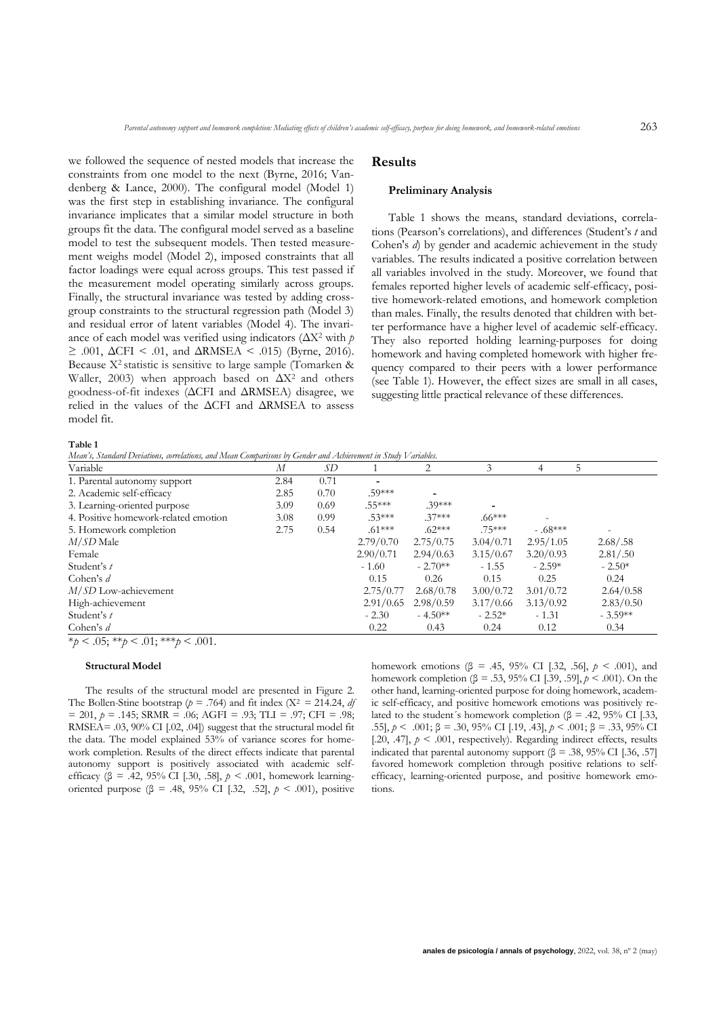we followed the sequence of nested models that increase the constraints from one model to the next (Byrne, 2016; Vandenberg & Lance, 2000). The configural model (Model 1) was the first step in establishing invariance. The configural invariance implicates that a similar model structure in both groups fit the data. The configural model served as a baseline model to test the subsequent models. Then tested measurement weighs model (Model 2), imposed constraints that all factor loadings were equal across groups. This test passed if the measurement model operating similarly across groups. Finally, the structural invariance was tested by adding crossgroup constraints to the structural regression path (Model 3) and residual error of latent variables (Model 4). The invariance of each model was verified using indicators (ΔX<sup>2</sup> with *p*   $\geq$  .001, ΔCFI < .01, and ΔRMSEA < .015) (Byrne, 2016). Because X<sup>2</sup> statistic is sensitive to large sample (Tomarken & Waller, 2003) when approach based on ΔX<sup>2</sup> and others goodness-of-fit indexes (ΔCFI and ΔRMSEA) disagree, we relied in the values of the ΔCFI and ΔRMSEA to assess model fit.

## **Results**

## **Preliminary Analysis**

Table 1 shows the means, standard deviations, correlations (Pearson's correlations), and differences (Student's *t* and Cohen's *d*) by gender and academic achievement in the study variables. The results indicated a positive correlation between all variables involved in the study. Moreover, we found that females reported higher levels of academic self-efficacy, positive homework-related emotions, and homework completion than males. Finally, the results denoted that children with better performance have a higher level of academic self-efficacy. They also reported holding learning-purposes for doing homework and having completed homework with higher frequency compared to their peers with a lower performance (see Table 1). However, the effect sizes are small in all cases, suggesting little practical relevance of these differences.

**Table 1**

*Mean's, Standard Deviations, correlations, and Mean Comparisons by Gender and Achievement in Study Variables.*

| Variable                                    | $\boldsymbol{M}$ | SD   |                          | 2         | 3         | 4         | .5         |
|---------------------------------------------|------------------|------|--------------------------|-----------|-----------|-----------|------------|
| 1. Parental autonomy support                | 2.84             | 0.71 | $\overline{\phantom{a}}$ |           |           |           |            |
| 2. Academic self-efficacy                   | 2.85             | 0.70 | .59***                   |           |           |           |            |
| 3. Learning-oriented purpose                | 3.09             | 0.69 | $.55***$                 | $.39***$  |           |           |            |
| 4. Positive homework-related emotion        | 3.08             | 0.99 | $.53***$                 | $.37***$  | $.66***$  |           |            |
| 5. Homework completion                      | 2.75             | 0.54 | $.61***$                 | $.62***$  | .75***    | $-.68***$ |            |
| $M/SD$ Male                                 |                  |      | 2.79/0.70                | 2.75/0.75 | 3.04/0.71 | 2.95/1.05 | 2.68 / .58 |
| Female                                      |                  |      | 2.90/0.71                | 2.94/0.63 | 3.15/0.67 | 3.20/0.93 | 2.81/.50   |
| Student's t                                 |                  |      | $-1.60$                  | $-2.70**$ | $-1.55$   | $-2.59*$  | $-2.50*$   |
| Cohen's $d$                                 |                  |      | 0.15                     | 0.26      | 0.15      | 0.25      | 0.24       |
| $M/SD$ Low-achievement                      |                  |      | 2.75/0.77                | 2.68/0.78 | 3.00/0.72 | 3.01/0.72 | 2.64/0.58  |
| High-achievement                            |                  |      | 2.91/0.65                | 2.98/0.59 | 3.17/0.66 | 3.13/0.92 | 2.83/0.50  |
| Student's t                                 |                  |      | $-2.30$                  | $-4.50**$ | $-2.52*$  | $-1.31$   | $-3.59**$  |
| Cohen's $d$                                 |                  |      | 0.22                     | 0.43      | 0.24      | 0.12      | 0.34       |
| * $p < .05;$ ** $p < .01;$ *** $p < .001$ . |                  |      |                          |           |           |           |            |

# **Structural Model**

The results of the structural model are presented in Figure 2. The Bollen-Stine bootstrap ( $p = .764$ ) and fit index (X<sup>2</sup> = 214.24, *df*  $= 201, p = .145$ ; SRMR = .06; AGFI = .93; TLI = .97; CFI = .98; RMSEA= .03, 90% CI [.02, .04]) suggest that the structural model fit the data. The model explained 53% of variance scores for homework completion. Results of the direct effects indicate that parental autonomy support is positively associated with academic selfefficacy (β = .42, 95% CI [.30, .58], *p* < .001, homework learningoriented purpose (β = .48, 95% CI [.32, .52], *p* < .001), positive homework emotions (β = .45, 95% CI [.32, .56], *p* < .001), and homework completion (β = .53, 95% CI [.39, .59], *p* < .001). On the other hand, learning-oriented purpose for doing homework, academic self-efficacy, and positive homework emotions was positively related to the student's homework completion ( $\beta = .42, 95\%$  CI [.33, .55], *p* < .001; β = .30, 95% CI [.19, .43], *p* < .001; β = .33, 95% CI [.20, .47],  $p < .001$ , respectively). Regarding indirect effects, results indicated that parental autonomy support (β = .38, 95% CI [.36, .57] favored homework completion through positive relations to selfefficacy, learning-oriented purpose, and positive homework emotions.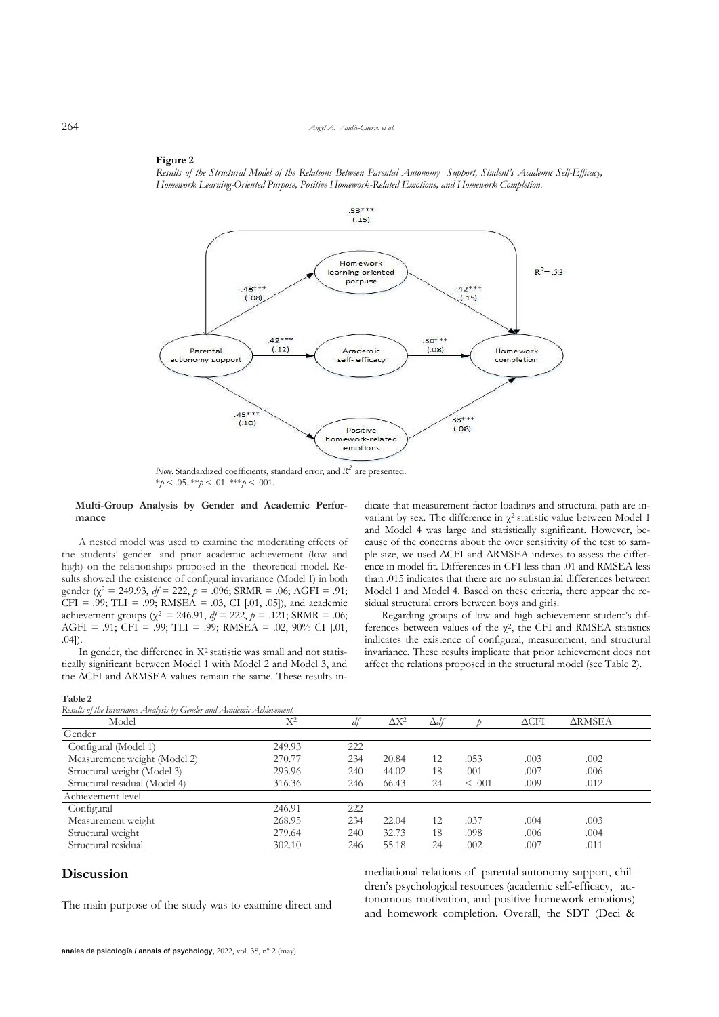#### **Figure 2**

Results of the Structural Model of the Relations Between Parental Autonomy Support, Student's Academic Self-Efficacy, *Homework Learning-Oriented Purpose, Positive Homework-Related Emotions, and Homework Completion.*



*Note.* Standardized coefficients, standard error, and *R 2* are presented.  $*_{p}$  < .05.  $*_{p}$  < .01.  $*_{p}$  < .001.

### **Multi-Group Analysis by Gender and Academic Performance**

A nested model was used to examine the mode the students' gender and prior academic achieve high) on the relationships proposed in the theore sults showed the existence of configural invariance ( gender ( $\chi^2 = 249.93$ ,  $df = 222$ ,  $p = .096$ ; SRMR = .0  $CFI = .99$ ; TLI = .99; RMSEA = .03, CI [.01, .05] achievement groups ( $\chi^2 = 246.91$ ,  $df = 222$ ,  $p = .121$ ; SRMR = .06; AGFI = .91; CFI = .99; TLI = .99; RMSEA = .02, 90% CI [.01, .04]).

In gender, the difference in X<sup>2</sup> statistic was small and not statistically significant between Model 1 with Model 2 and Model 3, and the ΔCFI and ΔRMSEA values remain the same. These results in-

**Table 2**

|                    | variant by sex. The difference in $\gamma^2$ statistic value between Model 1    |
|--------------------|---------------------------------------------------------------------------------|
|                    | and Model 4 was large and statistically significant. However, be-               |
| erating effects of | cause of the concerns about the over sensitivity of the test to sam-            |
| ement (low and     | ple size, we used $\Delta$ CFI and $\Delta$ RMSEA indexes to assess the differ- |
| tical model. Re-   | ence in model fit. Differences in CFI less than .01 and RMSEA less              |
| Model 1) in both   | than 015 indicates that there are no substantial differences between            |
| 91; AGFI = .91:    | Model 1 and Model 4. Based on these criteria, there appear the re-              |
| ), and academic    | sidual structural errors between boys and girls.                                |
| MADININALA         | $\mathbf{n}$ 1 1 $\mathbf{r}$ 1 1 1 1 1 $\mathbf{r}$ 1 $\mathbf{r}$             |

Regarding groups of low and high achievement student's differences between values of the  $\chi^2$ , the CFI and RMSEA statistics indicates the existence of configural, measurement, and structural invariance. These results implicate that prior achievement does not affect the relations proposed in the structural model (see Table 2).

dicate that measurement factor loadings and structural path are in-

| Results of the Invariance Analysis by Gender and Academic Achievement. |        |     |              |             |             |                 |               |  |
|------------------------------------------------------------------------|--------|-----|--------------|-------------|-------------|-----------------|---------------|--|
| Model                                                                  | $X^2$  | df  | $\Delta X^2$ | $\Delta df$ |             | $\triangle$ CFI | <b>ARMSEA</b> |  |
| Gender                                                                 |        |     |              |             |             |                 |               |  |
| Configural (Model 1)                                                   | 249.93 | 222 |              |             |             |                 |               |  |
| Measurement weight (Model 2)                                           | 270.77 | 234 | 20.84        | 12          | .053        | .003            | .002          |  |
| Structural weight (Model 3)                                            | 293.96 | 240 | 44.02        | 18          | .001        | .007            | .006          |  |
| Structural residual (Model 4)                                          | 316.36 | 246 | 66.43        | 24          | $\leq .001$ | .009            | .012          |  |
| Achievement level                                                      |        |     |              |             |             |                 |               |  |
| Configural                                                             | 246.91 | 222 |              |             |             |                 |               |  |
| Measurement weight                                                     | 268.95 | 234 | 22.04        | 12          | .037        | .004            | .003          |  |
| Structural weight                                                      | 279.64 | 240 | 32.73        | 18          | .098        | .006            | .004          |  |
| Structural residual                                                    | 302.10 | 246 | 55.18        | 24          | .002        | .007            | .011          |  |

# **Discussion**

The main purpose of the study was to examine direct and

mediational relations of parental autonomy support, children's psychological resources (academic self-efficacy, autonomous motivation, and positive homework emotions) and homework completion. Overall, the SDT (Deci &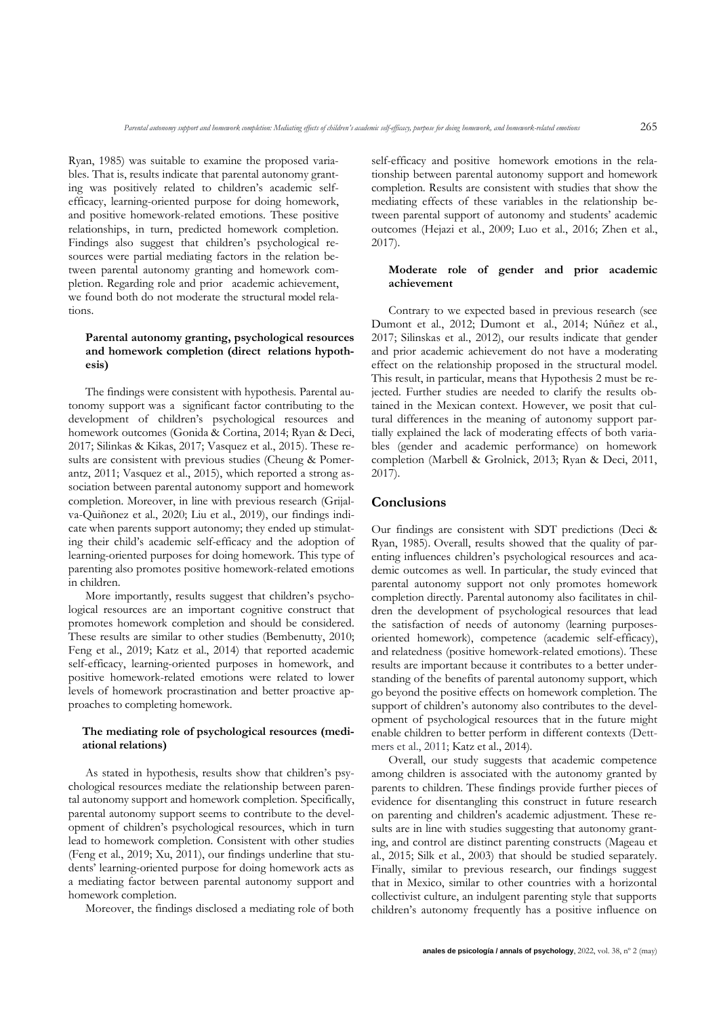Ryan, 1985) was suitable to examine the proposed variables. That is, results indicate that parental autonomy granting was positively related to children's academic selfefficacy, learning-oriented purpose for doing homework, and positive homework-related emotions. These positive relationships, in turn, predicted homework completion. Findings also suggest that children's psychological resources were partial mediating factors in the relation between parental autonomy granting and homework completion. Regarding role and prior academic achievement, we found both do not moderate the structural model relations.

## **Parental autonomy granting, psychological resources and homework completion (direct relations hypothesis)**

The findings were consistent with hypothesis. Parental autonomy support was a significant factor contributing to the development of children's psychological resources and homework outcomes (Gonida & Cortina, 2014; Ryan & Deci, 2017; Silinkas & Kikas, 2017; Vasquez et al., 2015). These results are consistent with previous studies (Cheung & Pomerantz, 2011; Vasquez et al., 2015), which reported a strong association between parental autonomy support and homework completion. Moreover, in line with previous research (Grijalva-Quiñonez et al., 2020; Liu et al., 2019), our findings indicate when parents support autonomy; they ended up stimulating their child's academic self-efficacy and the adoption of learning-oriented purposes for doing homework. This type of parenting also promotes positive homework-related emotions in children.

More importantly, results suggest that children's psychological resources are an important cognitive construct that promotes homework completion and should be considered. These results are similar to other studies (Bembenutty, 2010; Feng et al., 2019; Katz et al., 2014) that reported academic self-efficacy, learning-oriented purposes in homework, and positive homework-related emotions were related to lower levels of homework procrastination and better proactive approaches to completing homework.

## **The mediating role of psychological resources (mediational relations)**

As stated in hypothesis, results show that children's psychological resources mediate the relationship between parental autonomy support and homework completion. Specifically, parental autonomy support seems to contribute to the development of children's psychological resources, which in turn lead to homework completion. Consistent with other studies (Feng et al., 2019; Xu, 2011), our findings underline that students' learning-oriented purpose for doing homework acts as a mediating factor between parental autonomy support and homework completion.

Moreover, the findings disclosed a mediating role of both

self-efficacy and positive homework emotions in the relationship between parental autonomy support and homework completion. Results are consistent with studies that show the mediating effects of these variables in the relationship between parental support of autonomy and students' academic outcomes (Hejazi et al., 2009; Luo et al., 2016; Zhen et al., 2017).

## **Moderate role of gender and prior academic achievement**

Contrary to we expected based in previous research (see Dumont et al., 2012; Dumont et al., 2014; Núñez et al., 2017; Silinskas et al., 2012), our results indicate that gender and prior academic achievement do not have a moderating effect on the relationship proposed in the structural model. This result, in particular, means that Hypothesis 2 must be rejected. Further studies are needed to clarify the results obtained in the Mexican context. However, we posit that cultural differences in the meaning of autonomy support partially explained the lack of moderating effects of both variables (gender and academic performance) on homework completion (Marbell & Grolnick, 2013; Ryan & Deci, 2011, 2017).

# **Conclusions**

Our findings are consistent with SDT predictions (Deci & Ryan, 1985). Overall, results showed that the quality of parenting influences children's psychological resources and academic outcomes as well. In particular, the study evinced that parental autonomy support not only promotes homework completion directly. Parental autonomy also facilitates in children the development of psychological resources that lead the satisfaction of needs of autonomy (learning purposesoriented homework), competence (academic self-efficacy), and relatedness (positive homework-related emotions). These results are important because it contributes to a better understanding of the benefits of parental autonomy support, which go beyond the positive effects on homework completion. The support of children's autonomy also contributes to the development of psychological resources that in the future might enable children to better perform in different contexts (Dettmers et al., 2011; Katz et al., 2014).

Overall, our study suggests that academic competence among children is associated with the autonomy granted by parents to children. These findings provide further pieces of evidence for disentangling this construct in future research on parenting and children's academic adjustment. These results are in line with studies suggesting that autonomy granting, and control are distinct parenting constructs (Mageau et al., 2015; Silk et al., 2003) that should be studied separately. Finally, similar to previous research, our findings suggest that in Mexico, similar to other countries with a horizontal collectivist culture, an indulgent parenting style that supports children's autonomy frequently has a positive influence on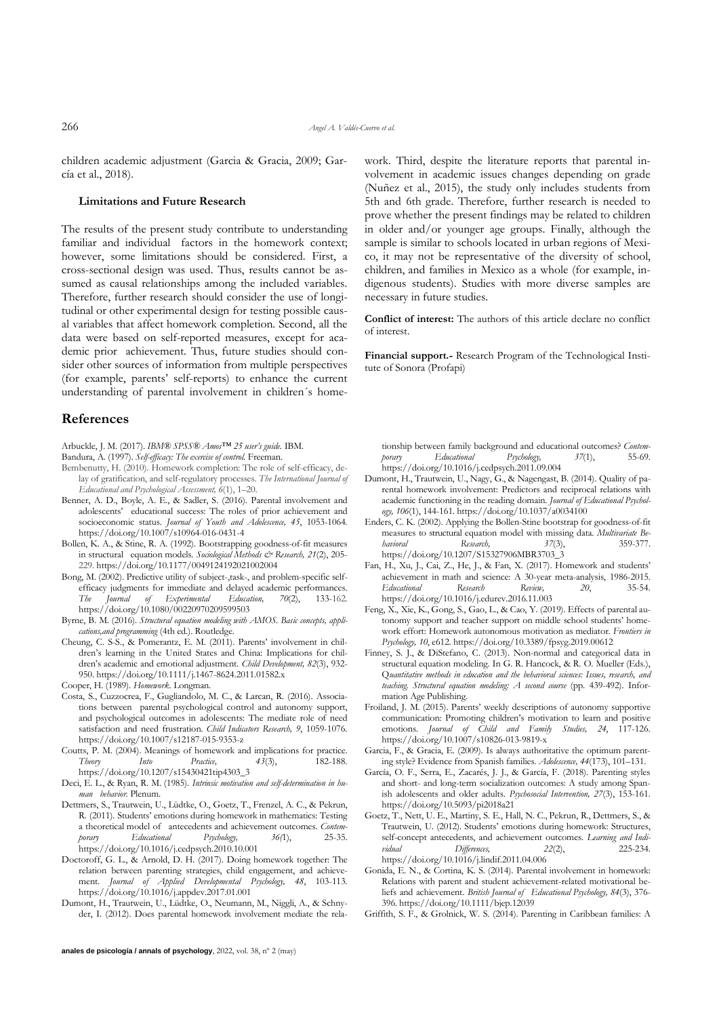children academic adjustment (Garcia & Gracia, 2009; García et al., 2018).

### **Limitations and Future Research**

The results of the present study contribute to understanding familiar and individual factors in the homework context; however, some limitations should be considered. First, a cross-sectional design was used. Thus, results cannot be assumed as causal relationships among the included variables. Therefore, further research should consider the use of longitudinal or other experimental design for testing possible causal variables that affect homework completion. Second, all the data were based on self-reported measures, except for academic prior achievement. Thus, future studies should consider other sources of information from multiple perspectives (for example, parents' self-reports) to enhance the current understanding of parental involvement in children´s home-

## **References**

- Arbuckle, J. M. (2017). *IBM® SPSS® Amos™ 25 user's guide*. IBM.
- Bandura, A. (1997). *Self-efficacy: The exercise of control.* Freeman.
- Bembenutty, H. (2010). Homework completion: The role of self-efficacy, delay of gratification, and self-regulatory processes. *The International Journal of Educational and Psychological Assessment, 6*(1), 1–20.
- Benner, A. D., Boyle, A. E., & Sadler, S. (2016). Parental involvement and adolescents' educational success: The roles of prior achievement and socioeconomic status. *Journal of Youth and Adolescence, 45*, 1053-1064*.* https://doi.org/10.1007/s10964-016-0431-4
- Bollen, K. A., & Stine, R. A. (1992). Bootstrapping goodness-of-fit measures in structural equation models. *Sociological Methods & Research, 21*(2), 205- 229. https://doi.org/10.1177/0049124192021002004
- Bong, M. (2002). Predictive utility of subject-,task-, and problem-specific selfefficacy judgments for immediate and delayed academic performances.<br>The *Journal of Experimental Education*, 70(2), 133-162. *The Journal of Experimental Education, 70*(2), 133-162. https://doi.org/10.1080/00220970209599503
- Byrne, B. M. (2016). *Structural equation modeling with AMOS. Basic concepts, applications,and programming* (4th ed.). Routledge.
- Cheung, C. S-S., & Pomerantz, E. M. (2011). Parents' involvement in children's learning in the United States and China: Implications for children's academic and emotional adjustment*. Child Development, 82*(3), 932- 950. https://doi.org/10.1111/j.1467-8624.2011.01582.x
- Cooper, H. (1989). *Homework*. Longman.
- Costa, S., Cuzzocrea, F., Gugliandolo, M. C., & Larcan, R. (2016). Associations between parental psychological control and autonomy support, and psychological outcomes in adolescents: The mediate role of need satisfaction and need frustration. *Child Indicators Research, 9*, 1059-1076. https://doi.org/10.1007/s12187-015-9353-z
- Coutts, P. M. (2004). Meanings of homework and implications for practice. *Theory Into Practice, 43*(3), 182-188. https://doi.org/10.1207/s15430421tip4303\_3
- Deci, E. L., & Ryan, R. M. (1985). *Intrinsic motivation and self-determination in human behavior.* Plenum.
- Dettmers, S., Trautwein, U., Lüdtke, O., Goetz, T., Frenzel, A. C., & Pekrun, R. (2011). Students' emotions during homework in mathematics: Testing a theoretical model of antecedents and achievement outcomes. *Contem-*<br>porary Educational Psychology,  $36(1)$ , 25-35. *porary Educational Psychology,* 36(1), https://doi.org/10.1016/j.cedpsych.2010.10.001
- Doctoroff, G. L., & Arnold, D. H. (2017). Doing homework together: The relation between parenting strategies, child engagement, and achievement. *Journal of Applied Developmental Psychology, 48*, 103-113. https://doi.org/10.1016/j.appdev.2017.01.001
- Dumont, H., Trautwein, U., Lüdtke, O., Neumann, M., Niggli, A., & Schnyder, I. (2012). Does parental homework involvement mediate the rela-

work. Third, despite the literature reports that parental involvement in academic issues changes depending on grade (Nuñez et al., 2015), the study only includes students from 5th and 6th grade. Therefore, further research is needed to prove whether the present findings may be related to children in older and/or younger age groups. Finally, although the sample is similar to schools located in urban regions of Mexico, it may not be representative of the diversity of school, children, and families in Mexico as a whole (for example, indigenous students). Studies with more diverse samples are necessary in future studies.

**Conflict of interest:** The authors of this article declare no conflict of interest.

**Financial support.-** Research Program of the Technological Institute of Sonora (Profapi)

tionship between family background and educational outcomes? *Contem-*<br> *porary* Educational Psychology, 37(1), 55-69. *porary Educational Psychology, 37*(1), 55-69. https://doi.org/10.1016/j.cedpsych.2011.09.004

- Dumont, H., Trautwein, U., Nagy, G., & Nagengast, B. (2014). Quality of parental homework involvement: Predictors and reciprocal relations with academic functioning in the reading domain. *Journal of Educational Psychology, 106*(1), 144-161. https://doi.org/10.1037/a0034100
- Enders, C. K. (2002). Applying the Bollen-Stine bootstrap for goodness-of-fit measures to structural equation model with missing data. *Multivariate Behavioral Research, 37*(3), 359-377. https://doi.org/10.1207/S15327906MBR3703\_3
- Fan, H., Xu, J., Cai, Z., He, J., & Fan, X. (2017). Homework and students' achievement in math and science: A 30-year meta-analysis, 1986-2015. *Educational Research Review, 20*, 35-54. https://doi.org/10.1016/j.edurev.2016.11.003
- Feng, X., Xie, K., Gong, S., Gao, L., & Cao, Y. (2019). Effects of parental autonomy support and teacher support on middle school students' homework effort: Homework autonomous motivation as mediator*. Frontiers in Psychology, 10*, e612. https://doi.org/10.3389/fpsyg.2019.00612
- Finney, S. J., & DiStefano, C. (2013). Non-normal and categorical data in structural equation modeling. In G. R. Hancock, & R. O. Mueller (Eds.), Q*uantitative methods in education and the behavioral sciences: Issues, research, and teaching. Structural equation modeling: A second course* (pp. 439-492). Information Age Publishing.
- Froiland, J. M. (2015). Parents' weekly descriptions of autonomy supportive communication: Promoting children's motivation to learn and positive emotions. *Journal of Child and Family Studies, 24*, 117-126. https://doi.org/10.1007/s10826-013-9819-x
- Garcia, F., & Gracia, E. (2009). Is always authoritative the optimum parenting style? Evidence from Spanish families. *Adolescence, 44*(173), 101–131.
- García, O. F., Serra, E., Zacarés, J. J., & García, F. (2018). Parenting styles and short- and long-term socialization outcomes: A study among Spanish adolescents and older adults. *Psychosocial Intervention, 27*(3), 153-161. https://doi.org/10.5093/pi2018a21
- Goetz, T., Nett, U. E., Martiny, S. E., Hall, N. C., Pekrun, R., Dettmers, S., & Trautwein, U. (2012). Students' emotions during homework: Structures, self-concept antecedents, and achievement outcomes*. Learning and Individual Differences, 22*(2), 225-234. https://doi.org/10.1016/j.lindif.2011.04.006
- Gonida, E. N., & Cortina, K. S. (2014). Parental involvement in homework: Relations with parent and student achievement-related motivational beliefs and achievement. *British Journal of Educational Psychology, 84*(3), 376- 396. https://doi.org/10.1111/bjep.12039
- Griffith, S. F., & Grolnick, W. S. (2014). Parenting in Caribbean families: A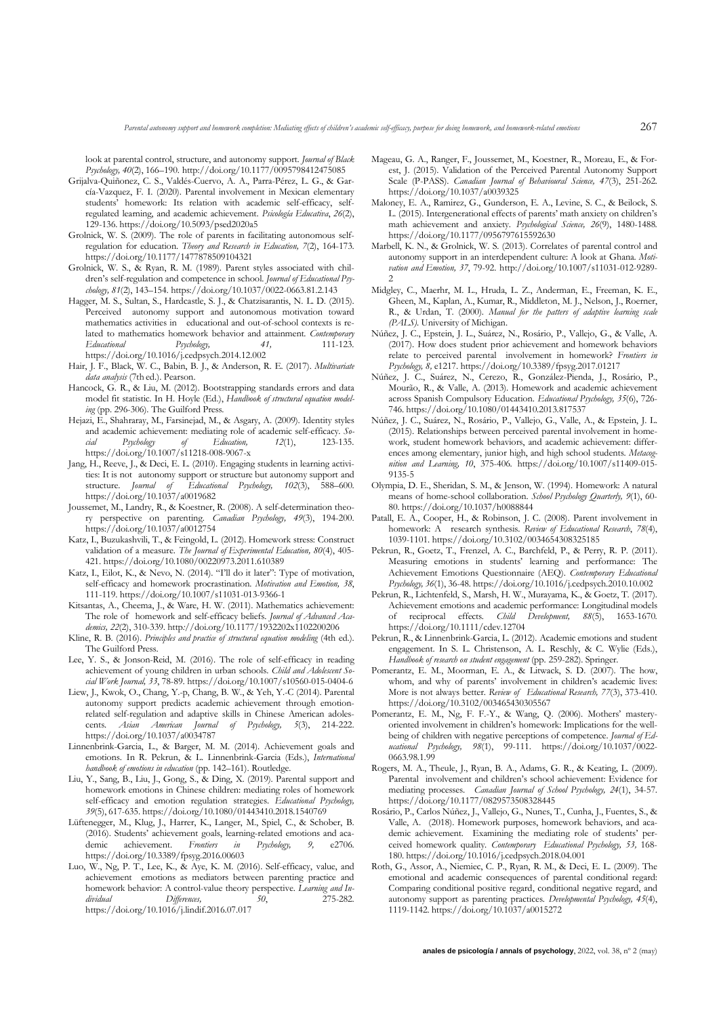look at parental control, structure, and autonomy support. *Journal of Black Psychology, 40*(2), 166–190. http://doi.org/10.1177/0095798412475085

- Grijalva-Quiñonez, C. S., Valdés-Cuervo, A. A., Parra-Pérez, L. G., & García-Vazquez, F. I. (2020). Parental involvement in Mexican elementary students' homework: Its relation with academic self-efficacy, selfregulated learning, and academic achievement. *Psicología Educativa*, *26*(2), 129-136. https://doi.org/10.5093/psed2020a5
- Grolnick, W. S. (2009). The role of parents in facilitating autonomous selfregulation for education. *Theory and Research in Education, 7*(2), 164-173. https://doi.org/10.1177/1477878509104321
- Grolnick, W. S., & Ryan, R. M. (1989). Parent styles associated with children's self-regulation and competence in school. *Journal of Educational Psychology, 81*(2), 143–154. https://doi.org/10.1037/0022-0663.81.2.143
- Hagger, M. S., Sultan, S., Hardcastle, S. J., & Chatzisarantis, N. L. D. (2015). Perceived autonomy support and autonomous motivation toward mathematics activities in educational and out-of-school contexts is related to mathematics homework behavior and attainment*. Contemporary Educational Psychology, 41,* 111-123*.* https://doi.org/10.1016/j.cedpsych.2014.12.002
- Hair, J. F., Black, W. C., Babin, B. J., & Anderson, R. E. (2017). *Multivariate data analysis* (7th ed.). Pearson.
- Hancock, G. R., & Liu, M. (2012). Bootstrapping standards errors and data model fit statistic. In H. Hoyle (Ed.), *Handbook of structural equation modeling* (pp. 296-306). The Guilford Press.
- Hejazi, E., Shahraray, M., Farsinejad, M., & Asgary, A. (2009). Identity styles and academic achievement: mediating role of academic self-efficacy. *So-*<br> *cial Psychology of Education*, *12(1)*,
123-135. *cial Psychology of Education, 12*(1), 123-135. https://doi.org/10.1007/s11218-008-9067-x
- Jang, H., Reeve, J., & Deci, E. L. (2010). Engaging students in learning activities: It is not autonomy support or structure but autonomy support and structure. *Journal of Educational Psychology, 102*(3), 588–600. https://doi.org/10.1037/a0019682
- Joussemet, M., Landry, R., & Koestner, R. (2008). A self-determination theory perspective on parenting. *Canadian Psychology, 49*(3), 194-200. https://doi.org/10.1037/a0012754
- Katz, I., Buzukashvili, T., & Feingold, L. (2012). Homework stress: Construct validation of a measure. *The Journal of Experimental Education, 80*(4), 405- 421. https://doi.org/10.1080/00220973.2011.610389
- Katz, I., Eilot, K., & Nevo, N. (2014). "I'll do it later": Type of motivation, self-efficacy and homework procrastination. *Motivation and Emotion, 38*, 111-119. https://doi.org/10.1007/s11031-013-9366-1
- Kitsantas, A., Cheema, J., & Ware, H. W. (2011). Mathematics achievement: The role of homework and self-efficacy beliefs. *Journal of Advanced Academics, 22*(2), 310-339. http*://*doi.org/10.1177/1932202x1102200206
- Kline, R. B. (2016). *Principles and practice of structural equation modeling* (4th ed.). The Guilford Press.
- Lee, Y. S., & Jonson-Reid, M. (2016). The role of self-efficacy in reading achievement of young children in urban schools. *Child and Adolescent Social Work Journal, 33*, 78-89. https://doi.org/10.1007/s10560-015-0404-6
- Liew, J., Kwok, O., Chang, Y.-p, Chang, B. W., & Yeh, Y.-C (2014). Parental autonomy support predicts academic achievement through emotionrelated self-regulation and adaptive skills in Chinese American adolescents. *Asian American Journal of Psychology, 5*(3), 214-222. https://doi.org/10.1037/a0034787
- Linnenbrink-Garcia, L., & Barger, M. M. (2014). Achievement goals and emotions. In R. Pekrun, & L. Linnenbrink-Garcia (Eds.), *International handbook of emotions in education* (pp. 142–161). Routledge.
- Liu, Y., Sang, B., Liu, J., Gong, S., & Ding, X. (2019). Parental support and homework emotions in Chinese children: mediating roles of homework self-efficacy and emotion regulation strategies. *Educational Psychology, 39*(5), 617-635. https://doi.org/10.1080/01443410.2018.1540769
- Lüftenegger, M., Klug, J., Harrer, K., Langer, M., Spiel, C., & Schober, B. (2016). Students' achievement goals, learning-related emotions and aca-<br>demic achievement. Frontiers in Psychology, 9, e2706. demic achievement. *Frontiers in Psychology, 9,* e2706. https://doi.org/10.3389/fpsyg.2016.00603
- Luo, W., Ng, P. T., Lee, K., & Aye, K. M. (2016). Self-efficacy, value, and achievement emotions as mediators between parenting practice and homework behavior: A control-value theory perspective. *Learning and In-Differences,* 50, https://doi.org/10.1016/j.lindif.2016.07.017
- Mageau, G. A., Ranger, F., Joussemet, M., Koestner, R., Moreau, E., & Forest, J. (2015). Validation of the Perceived Parental Autonomy Support Scale (P-PASS). *Canadian Journal of Behavioural Science, 47*(3), 251-262. https://doi.org/10.1037/a0039325
- Maloney, E. A., Ramirez, G., Gunderson, E. A., Levine, S. C., & Beilock, S. L. (2015). Intergenerational effects of parents' math anxiety on children's math achievement and anxiety. *Psychological Science, 26*(9), 1480-1488*.* https://doi.org/10.1177/0956797615592630
- Marbell, K. N., & Grolnick, W. S. (2013). Correlates of parental control and autonomy support in an interdependent culture: A look at Ghana. *Motivation and Emotion, 37*, 79-92. http://doi.org/10.1007/s11031-012-9289-  $\mathcal{L}$
- Midgley, C., Maerhr, M. L., Hruda, L. Z., Anderman, E., Freeman, K. E., Gheen, M., Kaplan, A., Kumar, R., Middleton, M. J., Nelson, J., Roerner, R., & Urdan, T. (2000). *Manual for the patters of adaptive learning scale (PALS).* University of Michigan.
- Núñez, J. C., Epstein, J. L., Suárez, N., Rosário, P., Vallejo, G., & Valle, A. (2017). How does student prior achievement and homework behaviors relate to perceived parental involvement in homework? *Frontiers in Psychology, 8,* e1217. https://doi.org/10.3389/fpsyg.2017.01217
- Núñez, J. C., Suárez, N., Cerezo, R., González-Pienda, J., Rosário, P., Mourão, R., & Valle, A. (2013). Homework and academic achievement across Spanish Compulsory Education. *Educational Psychology, 35*(6), 726- 746*.* https://doi.org/10.1080/01443410.2013.817537
- Núñez, J. C., Suárez, N., Rosário, P., Vallejo, G., Valle, A., & Epstein, J. L. (2015). Relationships between perceived parental involvement in homework, student homework behaviors, and academic achievement: differences among elementary, junior high, and high school students. *Metacognition and Learning, 10*, 375-406*.* https://doi.org/10.1007/s11409-015- 9135-5
- Olympia, D. E., Sheridan, S. M., & Jenson, W. (1994). Homework: A natural means of home-school collaboration. *School Psychology Quarterly, 9*(1), 60- 80. https://doi.org/10.1037/h0088844
- Patall, E. A., Cooper, H., & Robinson, J. C. (2008). Parent involvement in homework: A research synthesis. *Review of Educational Research*, *78*(4), 1039-1101. https://doi.org/10.3102/0034654308325185
- Pekrun, R., Goetz, T., Frenzel, A. C., Barchfeld, P., & Perry, R. P. (2011). Measuring emotions in students' learning and performance: The Achievement Emotions Questionnaire (AEQ). *Contemporary Educational Psychology, 36*(1), 36-48. https://doi.org/10.1016/j.cedpsych.2010.10.002
- Pekrun, R., Lichtenfeld, S., Marsh, H. W., Murayama, K., & Goetz, T. (2017). Achievement emotions and academic performance: Longitudinal models of reciprocal effects*. Child Development, 88*(5), 1653-1670*.* https://doi.org/10.1111/cdev.12704
- Pekrun, R., & Linnenbrink-Garcia, L. (2012). Academic emotions and student engagement. In S. L. Christenson, A. L. Reschly, & C. Wylie (Eds.), *Handbook of research on student engagement* (pp. 259-282). Springer.
- Pomerantz, E. M., Moorman, E. A., & Litwack, S. D. (2007). The how, whom, and why of parents' involvement in children's academic lives: More is not always better. *Review of Educational Research, 77*(3), 373-410. https://doi.org/10.3102/003465430305567
- Pomerantz, E. M., Ng, F. F.-Y., & Wang, Q. (2006). Mothers' masteryoriented involvement in children's homework: Implications for the wellbeing of children with negative perceptions of competence. *Journal of Educational Psychology, 98*(1), 99-111. https://doi.org/10.1037/0022- 0663.98.1.99
- Rogers, M. A., Theule, J., Ryan, B. A., Adams, G. R., & Keating, L. (2009). Parental involvement and children's school achievement: Evidence for mediating processes. *Canadian Journal of School Psychology, 24*(1), 34-57. https://doi.org/10.1177/0829573508328445
- Rosário, P., Carlos Núñez, J., Vallejo, G., Nunes, T., Cunha, J., Fuentes, S., & Valle, A. (2018). Homework purposes, homework behaviors, and academic achievement. Examining the mediating role of students' perceived homework quality*. Contemporary Educational Psychology, 53,* 168- 180*.* https://doi.org/10.1016/j.cedpsych.2018.04.001
- Roth, G., Assor, A., Niemiec, C. P., Ryan, R. M., & Deci, E. L. (2009). The emotional and academic consequences of parental conditional regard: Comparing conditional positive regard, conditional negative regard, and autonomy support as parenting practices. *Developmental Psychology, 45*(4), 1119-1142. https://doi.org/10.1037/a0015272